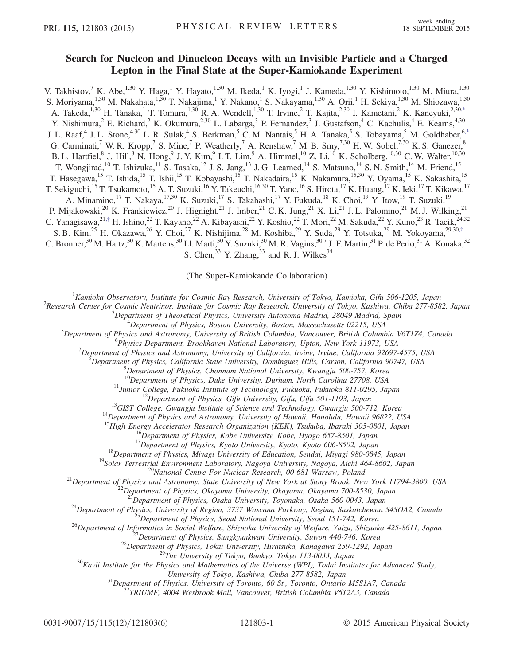## Search for Nucleon and Dinucleon Decays with an Invisible Particle and a Charged Lepton in the Final State at the Super-Kamiokande Experiment

<span id="page-0-0"></span>V. Takhistov,<sup>7</sup> K. Abe,<sup>1,30</sup> Y. Haga,<sup>1</sup> Y. Hayato,<sup>1,30</sup> M. Ikeda,<sup>1</sup> K. Iyogi,<sup>1</sup> J. Kameda,<sup>1,30</sup> Y. Kishimoto,<sup>1,30</sup> M. Miura,<sup>1,30</sup> S. Moriyama,<sup>1,30</sup> M. Nakahata,<sup>1,30</sup> T. Nakajima,<sup>1</sup> Y. Nakano,<sup>1</sup> S. Nakayama,<sup>1,30</sup> A. Orii,<sup>1</sup> H. Sekiya,<sup>1,30</sup> M. Shiozawa,<sup>1,30</sup> A. Takeda,<sup>1,30</sup> H. Tanaka,<sup>1</sup> T. Tomura,<sup>1,30</sup> R. A. Wendell,<sup>1,30</sup> T. Irvine,<sup>2</sup> T. Kajita,<sup>2,30</sup> I. Kametani,<sup>2</sup> K. Kaneyuki,<sup>2,3[0,\\*](#page-5-0)</sup> Y. Nishimura,  $^2$  E. Richard,  $^2$  K. Okumura,  $^{2,30}$  L. Labarga,  $^3$  P. Fernandez,  $^3$  J. Gustafson,  $^4$  C. Kachulis,  $^4$  E. Kearns,  $^{4,30}$ J. L. Raaf,<sup>4</sup> J. L. Stone,<sup>4,30</sup> L. R. Sulak,<sup>4</sup> S. Berkman,<sup>5</sup> C. M. Nantais,<sup>5</sup> H. A. Tanaka,<sup>5</sup> S. Tobayama,<sup>5</sup> M. Goldhaber,<sup>6[,\\*](#page-5-0)</sup> G. Carminati,<sup>7</sup> W. R. Kropp,<sup>7</sup> S. Mine,<sup>7</sup> P. Weatherly,<sup>7</sup> A. Renshaw,<sup>7</sup> M. B. Smy,<sup>7,30</sup> H. W. Sobel,<sup>7,30</sup> K. S. Ganezer,<sup>8</sup> B. L. Hartfiel, <sup>8</sup> J. Hill, <sup>8</sup> N. Hong, <sup>9</sup> J. Y. Kim, <sup>9</sup> I. T. Lim, <sup>9</sup> A. Himmel, <sup>10</sup> Z. Li, <sup>10</sup> K. Scholberg, <sup>10,30</sup> C. W. Walter, <sup>10,30</sup> T. Wongjirad,<sup>10</sup> T. Ishizuka,<sup>11</sup> S. Tasaka,<sup>12</sup> J. S. Jang,<sup>13</sup> J. G. Learned,<sup>14</sup> S. Matsuno,<sup>14</sup> S. N. Smith,<sup>14</sup> M. Friend,<sup>15</sup> T. Hasegawa,<sup>15</sup> T. Ishida,<sup>15</sup> T. Ishii,<sup>15</sup> T. Kobayashi,<sup>15</sup> T. Nakadaira,<sup>15</sup> K. Nakamura,<sup>15,30</sup> Y. Oyama,<sup>15</sup> K. Sakashita,<sup>15</sup> T. Sekiguchi,<sup>15</sup> T. Tsukamoto,<sup>15</sup> A. T. Suzuki,<sup>16</sup> Y. Takeuchi,<sup>16,30</sup> T. Yano,<sup>16</sup> S. Hirota,<sup>17</sup> K. Huang,<sup>17</sup> K. Ieki,<sup>17</sup> T. Kikawa,<sup>17</sup> A. Minamino,<sup>17</sup> T. Nakaya,<sup>17,30</sup> K. Suzuki,<sup>17</sup> S. Takahashi,<sup>17</sup> Y. Fukuda,<sup>18</sup> K. Choi,<sup>19</sup> Y. Itow,<sup>19</sup> T. Suzuki,<sup>19</sup> P. Mijakowski,<sup>20</sup> K. Frankiewicz,<sup>20</sup> J. Hignight,<sup>21</sup> J. Imber,<sup>21</sup> C. K. Jung,<sup>21</sup> X. Li,<sup>21</sup> J. L. Palomino,<sup>21</sup> M. J. Wilking,<sup>21</sup> C. Yanagisawa, $^{21, \dagger}$  H. Ishino, $^{22}$  T. Kayano, $^{22}$  A. Kibayashi, $^{22}$  Y. Koshio, $^{22}$  T. Mori, $^{22}$  M. Sakuda, $^{22}$  Y. Kuno, $^{23}$  R. Tacik, $^{24, 32}$ S. B. Kim,<sup>25</sup> H. Okazawa,<sup>26</sup> Y. Choi,<sup>27</sup> K. Nishijima,<sup>28</sup> M. Koshiba,<sup>29</sup> Y. Suda,<sup>29</sup> Y. Totsuka,<sup>29</sup> M. Yokoyama,<sup>29,30,[†](#page-5-1)</sup> C. Bronner,  $30$  M. Hartz,  $30$  K. Martens,  $30$  Ll. Marti,  $30$  Y. Suzuki,  $30$  M. R. Vagins,  $30,7$  J. F. Martin,  $31$  P. de Perio,  $31$  A. Konaka,  $32$ S. Chen,  $33$  Y. Zhang,  $33$  and R. J. Wilkes  $34$ 

(The Super-Kamiokande Collaboration)

<span id="page-0-1"></span><sup>1</sup> Kamioka Observatory, Institute for Cosmic Ray Research, University of Tokyo, Kamioka, Gifu 506-1205, Japan <sup>2</sup> Pescarah Cantas for Cosmic Nautrinos, Institute for Cosmic Ray Research, University of Tokyo, Kaphiya, Chib

<sup>2</sup>Research Center for Cosmic Neutrinos, Institute for Cosmic Ray Research, University of Tokyo, Kashiwa, Chiba 277-8582, Japan

 $^3$ Department of Theoretical Physics, University Autonoma Madrid, 28049 Madrid, Spain

 $^4$ Department of Physics, Boston University, Boston, Massachusetts 02215, USA

 $^5$ Department of Physics and Astronomy, University of British Columbia, Vancouver, British Columbia V6T1Z4, Canada

<sup>6</sup>Physics Department, Brookhaven National Laboratory, Upton, New York 11973, USA

 $^7$ Department of Physics and Astronomy, University of California, Irvine, Irvine, California 92697-4575, USA

 $B$ Department of Physics, California State University, Dominguez Hills, Carson, California 90747, USA

 ${}^{9}$ Department of Physics, Chonnam National University, Kwangju 500-757, Korea  ${}^{10}$ Department of Physics, Duke University, Durham, North Carolina 27708, USA

<sup>11</sup>Junior College, Fukuoka Institute of Technology, Fukuoka, Fukuoka 811-0295, Japan<br><sup>12</sup>Department of Physics, Gifu University, Gifu, Gifu 501-1193, Japan<br><sup>13</sup>GIST College, Gwangju Institute of Science and Technology, G

<sup>16</sup>Department of Physics, Kobe University, Kobe, Hyogo 657-8501, Japan<br><sup>17</sup>Department of Physics, Kyoto University, Kyoto, Kyoto 606-8502, Japan<br><sup>18</sup>Department of Physics, Miyagi University of Education, Sendai, Miyagi 9

<sup>24</sup>Department of Physics, University of Regina, 3737 Wascana Parkway, Regina, Saskatchewan S4SOA2, Canada<sup>25</sup>Department of Physics, Seoul National University, Seoul 151-742, Korea<sup>26</sup>Department of Informatics in Social W

University of Tokyo, Kashiwa, Chiba 277-8582, Japan<br><sup>31</sup>Department of Physics, University of Toronto, 60 St., Toronto, Ontario M5S1A7, Canada <sup>32</sup>TRIUMF, 4004 Wesbrook Mall, Vancouver, British Columbia V6T2A3, Canada

0031-9007/15/115(12)/121803(6) 121803-1 © 2015 American Physical Society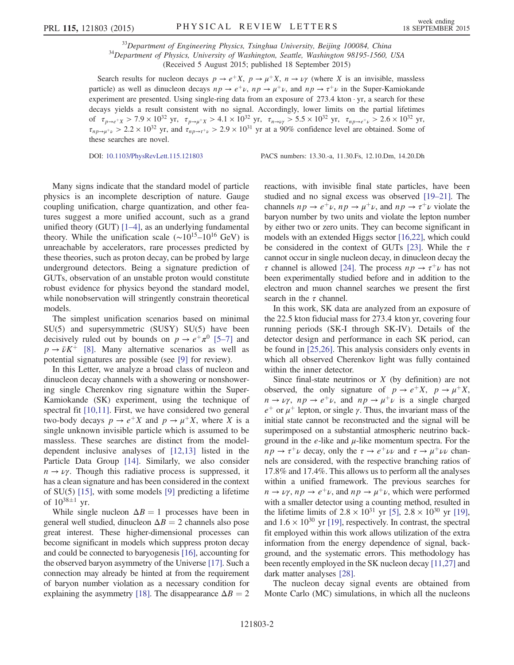$33$ Department of Engineering Physics, Tsinghua University, Beijing 100084, China  $34$ Department of Physics, University of Washington, Seattle, Washington 98195-1560, USA (Received 5 August 2015; published 18 September 2015)

Search results for nucleon decays  $p \to e^+X$ ,  $p \to \mu^+X$ ,  $n \to \nu\gamma$  (where X is an invisible, massless particle) as well as dinucleon decays  $np \rightarrow e^+ \nu$ ,  $np \rightarrow \mu^+ \nu$ , and  $np \rightarrow \tau^+ \nu$  in the Super-Kamiokande experiment are presented. Using single-ring data from an exposure of  $273.4$  kton  $\cdot$  yr, a search for these decays yields a result consistent with no signal. Accordingly, lower limits on the partial lifetimes of  $\tau_{p\to e^+X} > 7.9 \times 10^{32}$  yr,  $\tau_{p\to \mu^+X} > 4.1 \times 10^{32}$  yr,  $\tau_{n\to \nu\gamma} > 5.5 \times 10^{32}$  yr,  $\tau_{np\to e^+ \nu} > 2.6 \times 10^{32}$  yr,  $\tau_{np\to\mu^+\nu} > 2.2 \times 10^{32}$  yr, and  $\tau_{np\to\tau^+\nu} > 2.9 \times 10^{31}$  yr at a 90% confidence level are obtained. Some of these searches are novel.

DOI: [10.1103/PhysRevLett.115.121803](http://dx.doi.org/10.1103/PhysRevLett.115.121803) PACS numbers: 13.30.-a, 11.30.Fs, 12.10.Dm, 14.20.Dh

Many signs indicate that the standard model of particle physics is an incomplete description of nature. Gauge coupling unification, charge quantization, and other features suggest a more unified account, such as a grand unified theory (GUT) [\[1](#page-5-2)–4], as an underlying fundamental theory. While the unification scale ( $\sim 10^{15}$ – $10^{16}$  GeV) is unreachable by accelerators, rare processes predicted by these theories, such as proton decay, can be probed by large underground detectors. Being a signature prediction of GUTs, observation of an unstable proton would constitute robust evidence for physics beyond the standard model, while nonobservation will stringently constrain theoretical models.

The simplest unification scenarios based on minimal SU(5) and supersymmetric (SUSY) SU(5) have been decisively ruled out by bounds on  $p \to e^+ \pi^0$  [\[5](#page-5-3)–7] and  $p \rightarrow \bar{\nu}K^+$  [\[8\].](#page-5-4) Many alternative scenarios as well as potential signatures are possible (see [\[9\]](#page-5-5) for review).

In this Letter, we analyze a broad class of nucleon and dinucleon decay channels with a showering or nonshowering single Cherenkov ring signature within the Super-Kamiokande (SK) experiment, using the technique of spectral fit [\[10,11\]](#page-5-6). First, we have considered two general two-body decays  $p \to e^+ X$  and  $p \to \mu^+ X$ , where X is a single unknown invisible particle which is assumed to be massless. These searches are distinct from the modeldependent inclusive analyses of [\[12,13\]](#page-5-7) listed in the Particle Data Group [\[14\]](#page-5-8). Similarly, we also consider  $n \rightarrow \nu\gamma$ . Though this radiative process is suppressed, it has a clean signature and has been considered in the context of SU(5) [\[15\],](#page-5-9) with some models [\[9\]](#page-5-5) predicting a lifetime of  $10^{38 \pm 1}$  yr.

While single nucleon  $\Delta B = 1$  processes have been in general well studied, dinucleon  $\Delta B = 2$  channels also pose great interest. These higher-dimensional processes can become significant in models which suppress proton decay and could be connected to baryogenesis [\[16\]](#page-5-10), accounting for the observed baryon asymmetry of the Universe [\[17\].](#page-5-11) Such a connection may already be hinted at from the requirement of baryon number violation as a necessary condition for explaining the asymmetry [\[18\]](#page-5-12). The disappearance  $\Delta B = 2$  reactions, with invisible final state particles, have been studied and no signal excess was observed [19–[21\].](#page-5-13) The channels  $np \to e^+ \nu$ ,  $np \to \mu^+ \nu$ , and  $np \to \tau^+ \nu$  violate the baryon number by two units and violate the lepton number by either two or zero units. They can become significant in models with an extended Higgs sector [\[16,22\]](#page-5-10), which could be considered in the context of GUTs [\[23\].](#page-5-14) While the  $\tau$ cannot occur in single nucleon decay, in dinucleon decay the  $\tau$  channel is allowed [\[24\]](#page-5-15). The process  $np \to \tau^+\nu$  has not been experimentally studied before and in addition to the electron and muon channel searches we present the first search in the  $\tau$  channel.

In this work, SK data are analyzed from an exposure of the 22.5 kton fiducial mass for 273.4 kton yr, covering four running periods (SK-I through SK-IV). Details of the detector design and performance in each SK period, can be found in [\[25,26\]](#page-5-16). This analysis considers only events in which all observed Cherenkov light was fully contained within the inner detector.

Since final-state neutrinos or  $X$  (by definition) are not observed, the only signature of  $p \to e^+X$ ,  $p \to \mu^+X$ ,  $n \to \nu \gamma$ ,  $np \to e^+ \nu$ , and  $np \to \mu^+ \nu$  is a single charged  $e^+$  or  $\mu^+$  lepton, or single  $\gamma$ . Thus, the invariant mass of the initial state cannot be reconstructed and the signal will be superimposed on a substantial atmospheric neutrino background in the  $e$ -like and  $\mu$ -like momentum spectra. For the  $np \to \tau^+ \nu$  decay, only the  $\tau \to e^+ \nu \nu$  and  $\tau \to \mu^+ \nu \nu$  channels are considered, with the respective branching ratios of 17.8% and 17.4%. This allows us to perform all the analyses within a unified framework. The previous searches for  $n \to \nu \gamma$ ,  $np \to e^+ \nu$ , and  $np \to \mu^+ \nu$ , which were performed with a smaller detector using a counting method, resulted in the lifetime limits of  $2.8 \times 10^{31}$  yr [\[5\]](#page-5-3),  $2.8 \times 10^{30}$  yr [\[19\]](#page-5-13), and  $1.6 \times 10^{30}$  yr [\[19\]](#page-5-13), respectively. In contrast, the spectral fit employed within this work allows utilization of the extra information from the energy dependence of signal, background, and the systematic errors. This methodology has been recently employed in the SK nucleon decay [\[11,27\]](#page-5-17) and dark matter analyses [\[28\].](#page-5-18)

The nucleon decay signal events are obtained from Monte Carlo (MC) simulations, in which all the nucleons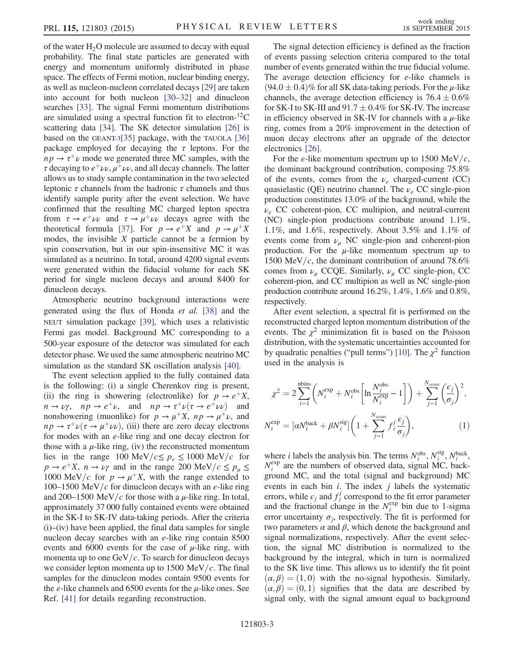of the water  $H_2O$  molecule are assumed to decay with equal probability. The final state particles are generated with energy and momentum uniformly distributed in phase space. The effects of Fermi motion, nuclear binding energy, as well as nucleon-nucleon correlated decays [\[29\]](#page-5-19) are taken into account for both nucleon [\[30](#page-5-20)–32] and dinucleon searches [\[33\].](#page-5-21) The signal Fermi momentum distributions are simulated using a spectral function fit to electron-<sup>12</sup>C scattering data [\[34\].](#page-5-22) The SK detector simulation [\[26\]](#page-5-23) is based on the GEANT-3[\[35\]](#page-5-24) package, with the TAUOLA [\[36\]](#page-5-25) package employed for decaying the  $\tau$  leptons. For the  $np \rightarrow \tau^+\nu$  mode we generated three MC samples, with the  $\tau$  decaying to  $e^+\nu\nu$ ,  $\mu^+\nu\nu$ , and all decay channels. The latter allows us to study sample contamination in the two selected leptonic  $\tau$  channels from the hadronic  $\tau$  channels and thus identify sample purity after the event selection. We have confirmed that the resulting MC charged lepton spectra from  $\tau \to e^+ \nu \nu$  and  $\tau \to \mu^+ \nu \nu$  decays agree with the theoretical formula [\[37\]](#page-5-26). For  $p \to e^+ X$  and  $p \to \mu^+ X$ modes, the invisible  $X$  particle cannot be a fermion by spin conservation, but in our spin-insensitive MC it was simulated as a neutrino. In total, around 4200 signal events were generated within the fiducial volume for each SK period for single nucleon decays and around 8400 for dinucleon decays.

Atmospheric neutrino background interactions were generated using the flux of Honda et al. [\[38\]](#page-5-27) and the NEUT simulation package [\[39\],](#page-5-28) which uses a relativistic Fermi gas model. Background MC corresponding to a 500-year exposure of the detector was simulated for each detector phase. We used the same atmospheric neutrino MC simulation as the standard SK oscillation analysis [\[40\].](#page-5-29)

The event selection applied to the fully contained data is the following: (i) a single Cherenkov ring is present, (ii) the ring is showering (electronlike) for  $p \to e^+ X$ ,  $n \to \nu \gamma$ ,  $np \to e^+ \nu$ , and  $np \to \tau^+ \nu (\tau \to e^+ \nu \nu)$  and nonshowering (muonlike) for  $p \to \mu^+ X$ ,  $np \to \mu^+ \nu$ , and  $np \rightarrow \tau^+ \nu (\tau \rightarrow \mu^+ \nu \nu)$ , (iii) there are zero decay electrons for modes with an e-like ring and one decay electron for those with a  $\mu$ -like ring, (iv) the reconstructed momentum lies in the range 100 MeV/ $c \leq p_e \leq 1000$  MeV/c for  $p \rightarrow e^+ X$ ,  $n \rightarrow \nu \gamma$  and in the range 200 MeV/ $c \leq p_\mu \leq$ 1000 MeV/c for  $p \rightarrow \mu^{+}X$ , with the range extended to 100–1500 MeV/c for dinucleon decays with an e-like ring and 200–1500 MeV/c for those with a  $\mu$ -like ring. In total, approximately 37 000 fully contained events were obtained in the SK-I to SK-IV data-taking periods. After the criteria (i)–(iv) have been applied, the final data samples for single nucleon decay searches with an e-like ring contain 8500 events and 6000 events for the case of  $\mu$ -like ring, with momenta up to one  $GeV/c$ . To search for dinucleon decays we consider lepton momenta up to 1500 MeV/c. The final samples for the dinucleon modes contain 9500 events for the  $e$ -like channels and 6500 events for the  $\mu$ -like ones. See Ref. [\[41\]](#page-5-30) for details regarding reconstruction.

The signal detection efficiency is defined as the fraction of events passing selection criteria compared to the total number of events generated within the true fiducial volume. The average detection efficiency for e-like channels is  $(94.0 \pm 0.4)\%$  for all SK data-taking periods. For the  $\mu$ -like channels, the average detection efficiency is  $76.4 \pm 0.6\%$ for SK-I to SK-III and  $91.7 \pm 0.4\%$  for SK-IV. The increase in efficiency observed in SK-IV for channels with a  $\mu$ -like ring, comes from a 20% improvement in the detection of muon decay electrons after an upgrade of the detector electronics [\[26\].](#page-5-23)

For the e-like momentum spectrum up to 1500 MeV/c, the dominant background contribution, composing 75.8% of the events, comes from the  $\nu_e$  charged-current (CC) quasielastic (QE) neutrino channel. The  $\nu_e$  CC single-pion production constitutes 13.0% of the background, while the  $\nu_e$  CC coherent-pion, CC multipion, and neutral-current (NC) single-pion productions contribute around 1.1%, 1.1%, and 1.6%, respectively. About 3.5% and 1.1% of events come from  $\nu_{\mu}$  NC single-pion and coherent-pion production. For the  $\mu$ -like momentum spectrum up to 1500 MeV/c, the dominant contribution of around 78.6% comes from  $\nu_{\mu}$  CCQE. Similarly,  $\nu_{\mu}$  CC single-pion, CC coherent-pion, and CC multipion as well as NC single-pion production contribute around 16.2%, 1.4%, 1.6% and 0.8%, respectively.

After event selection, a spectral fit is performed on the reconstructed charged lepton momentum distribution of the events. The  $\chi^2$  minimization fit is based on the Poisson distribution, with the systematic uncertainties accounted for by quadratic penalties ("pull terms") [\[10\]](#page-5-6). The  $\chi^2$  function used in the analysis is

$$
\chi^2 = 2 \sum_{i=1}^{\text{nbins}} \left( N_i^{\text{exp}} + N_i^{\text{obs}} \left[ \ln \frac{N_i^{\text{obs}}}{N_i^{\text{exp}}} - 1 \right] \right) + \sum_{j=1}^{N_{\text{system}}} \left( \frac{\epsilon_j}{\sigma_j} \right)^2,
$$
  

$$
N_i^{\text{exp}} = [\alpha N_i^{\text{back}} + \beta N_i^{\text{sig}}] \left( 1 + \sum_{j=1}^{N_{\text{system}}} f_i^j \frac{\epsilon_j}{\sigma_j} \right),
$$
 (1)

where *i* labels the analysis bin. The terms  $N_i^{obs}$ ,  $N_i^{sig}$ ,  $N_i^{back}$ ,  $N_i^{\text{exp}}$  are the numbers of observed data, signal MC, background MC, and the total (signal and background) MC events in each bin  $i$ . The index  $j$  labels the systematic errors, while  $\epsilon_j$  and  $f_i^j$  correspond to the fit error parameter and the fractional change in the  $N_i^{\text{exp}}$  bin due to 1-sigma error uncertainty  $\sigma_i$ , respectively. The fit is performed for two parameters  $\alpha$  and  $\beta$ , which denote the background and signal normalizations, respectively. After the event selection, the signal MC distribution is normalized to the background by the integral, which in turn is normalized to the SK live time. This allows us to identify the fit point  $\alpha$ ,  $\beta$ ) = (1,0) with the no-signal hypothesis. Similarly,  $(\alpha, \beta) = (0, 1)$  signifies that the data are described by signal only, with the signal amount equal to background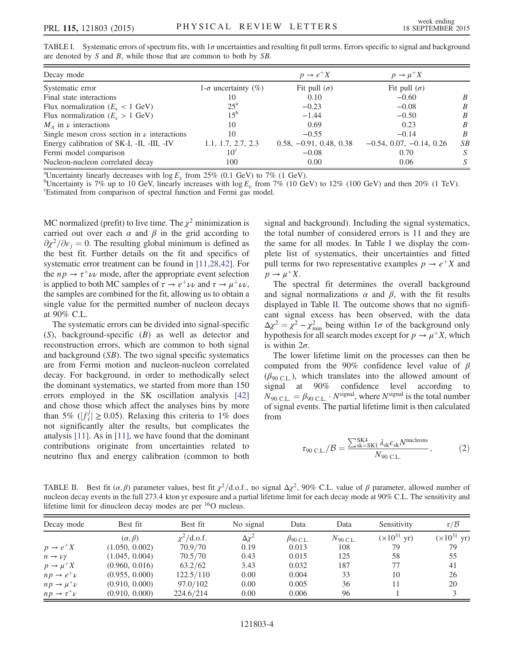<span id="page-3-0"></span>

|  | TABLE I. Systematic errors of spectrum fits, with $1\sigma$ uncertainties and resulting fit pull terms. Errors specific to signal and background |  |  |  |  |
|--|--------------------------------------------------------------------------------------------------------------------------------------------------|--|--|--|--|
|  | are denoted by $S$ and $B$ , while those that are common to both by $SB$ .                                                                       |  |  |  |  |

| Decay mode                                       |                             | $p \rightarrow e^+ X$     | $p \rightarrow \mu^+ X$    |                  |
|--------------------------------------------------|-----------------------------|---------------------------|----------------------------|------------------|
| Systematic error                                 | 1- $\sigma$ uncertainty (%) | Fit pull $(\sigma)$       | Fit pull $(\sigma)$        |                  |
| Final state interactions                         | 10                          | 0.10                      | $-0.60$                    | B                |
| Flux normalization $(E_v < 1 \text{ GeV})$       | $25^{\rm a}$                | $-0.23$                   | $-0.08$                    | B                |
| Flux normalization $(E_u > 1 \text{ GeV})$       | $15^{b}$                    | $-1.44$                   | $-0.50$                    | B                |
| $M_A$ in $\nu$ interactions                      | 10                          | 0.69                      | 0.23                       | B                |
| Single meson cross section in $\nu$ interactions | 10                          | $-0.55$                   | $-0.14$                    | $\boldsymbol{B}$ |
| Energy calibration of SK-I, -II, -III, -IV       | 1.1, 1.7, 2.7, 2.3          | $0.58, -0.91, 0.48, 0.38$ | $-0.54, 0.07, -0.14, 0.26$ | SB               |
| Fermi model comparison                           | $10^{\circ}$                | $-0.08$                   | 0.70                       | S                |
| Nucleon-nucleon correlated decay                 | 100                         | 0.00                      | 0.06                       |                  |

<sup>a</sup>Uncertainty linearly decreases with  $\log E_{\nu}$  from 25% (0.1 GeV) to 7% (1 GeV).

<sup>b</sup>Uncertainty is 7% up to 10 GeV, linearly increases with  $\log E_v$  from 7% (10 GeV) to 12% (100 GeV) and then 20% (1 TeV). Estimated from comparison of spectral function and Fermi gas model.

MC normalized (prefit) to live time. The  $\chi^2$  minimization is carried out over each  $\alpha$  and  $\beta$  in the grid according to  $\partial \chi^2/\partial \epsilon_i = 0$ . The resulting global minimum is defined as the best fit. Further details on the fit and specifics of systematic error treatment can be found in [\[11,28,42\].](#page-5-17) For the  $np \rightarrow \tau^+ \nu \nu$  mode, after the appropriate event selection is applied to both MC samples of  $\tau \to e^+ \nu \nu$  and  $\tau \to \mu^+ \nu \nu$ , the samples are combined for the fit, allowing us to obtain a single value for the permitted number of nucleon decays at 90% C.L.

The systematic errors can be divided into signal-specific (S), background-specific (B) as well as detector and reconstruction errors, which are common to both signal and background (SB). The two signal specific systematics are from Fermi motion and nucleon-nucleon correlated decay. For background, in order to methodically select the dominant systematics, we started from more than 150 errors employed in the SK oscillation analysis [\[42\]](#page-5-31) and chose those which affect the analyses bins by more than 5% ( $|f_i^j| \ge 0.05$ ). Relaxing this criteria to 1% does not significantly alter the results, but complicates the analysis [\[11\].](#page-5-17) As in [\[11\],](#page-5-17) we have found that the dominant contributions originate from uncertainties related to neutrino flux and energy calibration (common to both signal and background). Including the signal systematics, the total number of considered errors is 11 and they are the same for all modes. In Table [I](#page-3-0) we display the complete list of systematics, their uncertainties and fitted pull terms for two representative examples  $p \to e^+ X$  and  $p \rightarrow \mu^+ X$ .

The spectral fit determines the overall background and signal normalizations  $\alpha$  and  $\beta$ , with the fit results displayed in Table [II.](#page-3-1) The outcome shows that no significant signal excess has been observed, with the data  $\Delta \chi^2 = \chi^2 - \chi^2_{\text{min}}$  being within  $1\sigma$  of the background only hypothesis for all search modes except for  $p \to \mu^+ X$ , which is within  $2\sigma$ .

The lower lifetime limit on the processes can then be computed from the 90% confidence level value of  $\beta$  $(\beta_{90 \text{ CI}})$ , which translates into the allowed amount of signal at 90% confidence level according to  $N_{90 \text{ C.L.}} = \beta_{90 \text{ C.L.}} \cdot N^{\text{signal}}$ , where  $N^{\text{signal}}$  is the total number of signal events. The partial lifetime limit is then calculated from

$$
\tau_{90 \text{ C.L.}}/\mathcal{B} = \frac{\sum_{sk=SK1}^{SK4} \lambda_{sk} \epsilon_{sk} N^{\text{nucleons}}}{N_{90 \text{ C.L.}}},\tag{2}
$$

<span id="page-3-1"></span>TABLE II. Best fit  $(\alpha, \beta)$  parameter values, best fit  $\chi^2/\text{d.o.f.}$ , no signal  $\Delta \chi^2$ , 90% C.L. value of  $\beta$  parameter, allowed number of nucleon decay events in the full 273.4 kton yr exposure and a partial lifetime limit for each decay mode at 90% C.L. The sensitivity and lifetime limit for dinucleon decay modes are per  $^{16}$ O nucleus.

| Decay mode                  | Best fit          | Best fit         | No signal       | Data            | Data              | Sensitivity                   | $\tau/B$                      |  |
|-----------------------------|-------------------|------------------|-----------------|-----------------|-------------------|-------------------------------|-------------------------------|--|
|                             | $(\alpha, \beta)$ | $\chi^2$ /d.o.f. | $\Delta \chi^2$ | $\beta$ 90 C.L. | $N_{\rm 90~C.L.}$ | $(\times 10^{31} \text{ yr})$ | $(\times 10^{31} \text{ yr})$ |  |
| $p \rightarrow e^+ X$       | (1.050, 0.002)    | 70.9/70          | 0.19            | 0.013           | 108               | 79                            | 79                            |  |
| $n \rightarrow \nu \gamma$  | (1.045, 0.004)    | 70.5/70          | 0.43            | 0.015           | 125               | 58                            | 55                            |  |
| $p \rightarrow \mu^+ X$     | (0.960, 0.016)    | 63.2/62          | 3.43            | 0.032           | 187               | 77                            | 41                            |  |
| $np \rightarrow e^+ \nu$    | (0.955, 0.000)    | 122.5/110        | 0.00            | 0.004           | 33                | 10                            | 26                            |  |
| $np \rightarrow \mu^+ \nu$  | (0.910, 0.000)    | 97.0/102         | 0.00            | 0.005           | 36                | 11                            | 20                            |  |
| $np \rightarrow \tau^+ \nu$ | (0.910, 0.000)    | 224.6/214        | 0.00            | 0.006           | 96                |                               |                               |  |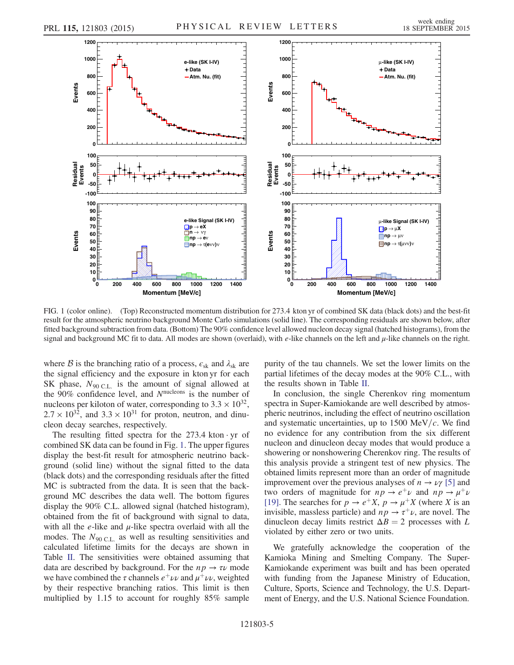<span id="page-4-0"></span>

FIG. 1 (color online). (Top) Reconstructed momentum distribution for 273.4 kton yr of combined SK data (black dots) and the best-fit result for the atmospheric neutrino background Monte Carlo simulations (solid line). The corresponding residuals are shown below, after fitted background subtraction from data. (Bottom) The 90% confidence level allowed nucleon decay signal (hatched histograms), from the signal and background MC fit to data. All modes are shown (overlaid), with  $e$ -like channels on the left and  $\mu$ -like channels on the right.

where B is the branching ratio of a process,  $\epsilon_{sk}$  and  $\lambda_{sk}$  are the signal efficiency and the exposure in kton yr for each SK phase,  $N_{90 \text{ C.L.}}$  is the amount of signal allowed at the  $90\%$  confidence level, and  $N<sup>nucleons</sup>$  is the number of nucleons per kiloton of water, corresponding to  $3.3 \times 10^{32}$ ,  $2.7 \times 10^{32}$ , and  $3.3 \times 10^{31}$  for proton, neutron, and dinucleon decay searches, respectively.

The resulting fitted spectra for the  $273.4$  kton  $\cdot$  yr of combined SK data can be found in Fig. [1](#page-4-0). The upper figures display the best-fit result for atmospheric neutrino background (solid line) without the signal fitted to the data (black dots) and the corresponding residuals after the fitted MC is subtracted from the data. It is seen that the background MC describes the data well. The bottom figures display the 90% C.L. allowed signal (hatched histogram), obtained from the fit of background with signal to data, with all the  $e$ -like and  $\mu$ -like spectra overlaid with all the modes. The  $N_{90 \text{ C.L.}}$  as well as resulting sensitivities and calculated lifetime limits for the decays are shown in Table [II.](#page-3-1) The sensitivities were obtained assuming that data are described by background. For the  $np \to \tau \nu$  mode we have combined the  $\tau$  channels  $e^{\mu} \nu \nu$  and  $\mu^{\mu} \nu \nu$ , weighted by their respective branching ratios. This limit is then multiplied by 1.15 to account for roughly 85% sample purity of the tau channels. We set the lower limits on the partial lifetimes of the decay modes at the 90% C.L., with the results shown in Table [II.](#page-3-1)

In conclusion, the single Cherenkov ring momentum spectra in Super-Kamiokande are well described by atmospheric neutrinos, including the effect of neutrino oscillation and systematic uncertainties, up to  $1500 \text{ MeV}/c$ . We find no evidence for any contribution from the six different nucleon and dinucleon decay modes that would produce a showering or nonshowering Cherenkov ring. The results of this analysis provide a stringent test of new physics. The obtained limits represent more than an order of magnitude improvement over the previous analyses of  $n \to \nu \gamma$  [\[5\]](#page-5-3) and two orders of magnitude for  $np \rightarrow e^+ \nu$  and  $np \rightarrow \mu^+ \nu$ [\[19\]](#page-5-13). The searches for  $p \to e^+ X$ ,  $p \to \mu^+ X$  (where X is an invisible, massless particle) and  $np \to \tau^+\nu$ , are novel. The dinucleon decay limits restrict  $\Delta B = 2$  processes with L violated by either zero or two units.

We gratefully acknowledge the cooperation of the Kamioka Mining and Smelting Company. The Super-Kamiokande experiment was built and has been operated with funding from the Japanese Ministry of Education, Culture, Sports, Science and Technology, the U.S. Department of Energy, and the U.S. National Science Foundation.